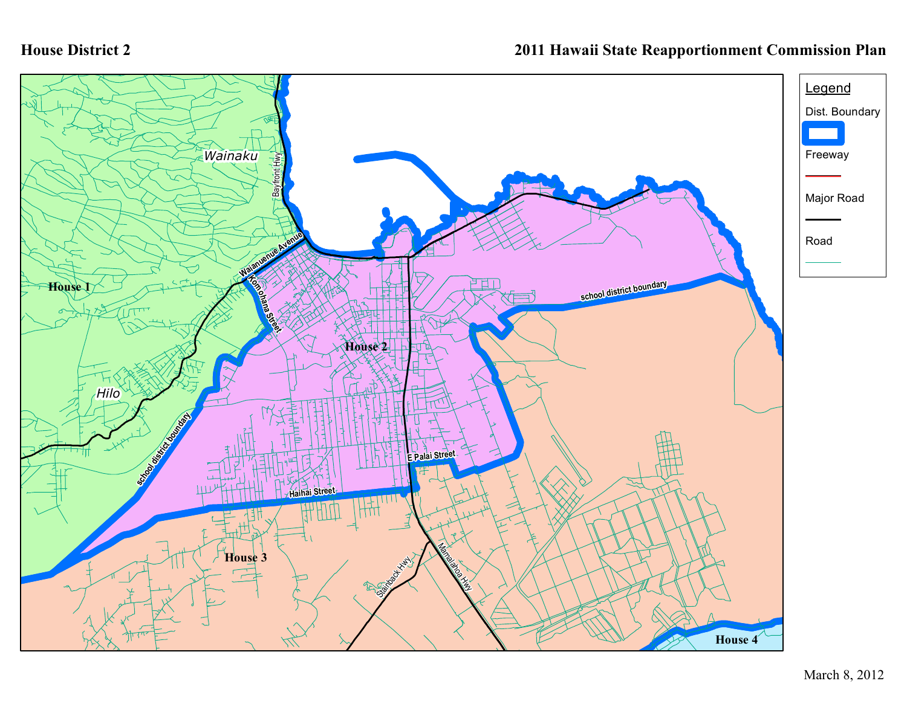## **House District 2**